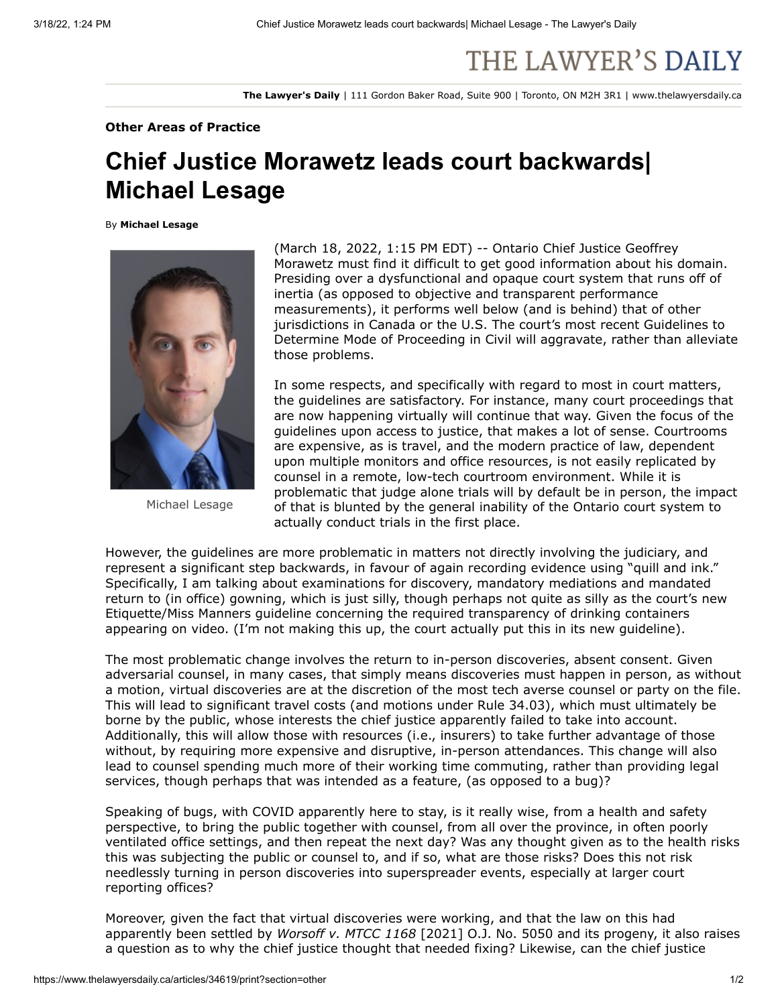## THE LAWYER'S DAILY

**The Lawyer's Daily** | 111 Gordon Baker Road, Suite 900 | Toronto, ON M2H 3R1 | www.thelawyersdaily.ca

## **Other Areas of Practice**

## **Chief Justice Morawetz leads court backwards| Michael Lesage**

By **Michael Lesage**



Michael Lesage

(March 18, 2022, 1:15 PM EDT) -- Ontario Chief Justice Geoffrey Morawetz must find it difficult to get good information about his domain. Presiding over a [dysfunctiona](https://www.michaelsfirm.ca/how-long-does-it-take-civil-cases-to-get-to-trial-ontario/)l and opaque court system that runs off of inertia (as opposed to objective and transparent performance measurements), it performs [well below](https://www.thelawyersdaily.ca/articles/34288/attorney-general-disregards-bench-bar-michael-lesage-) (and is behind) that of [other](http://www.slaw.ca/2021/05/21/benchmarking-the-ontario-court-system/) [jurisdictions in Canada or the U.S. The court's most recent Guidelines to](https://s3.amazonaws.com/tld-documents.llnassets.com/0034000/34619/guidelines%20to%20determine%20mode%20of%20proceeding%20in%20civil%20_%20superior%20court%20of%20justice.pdf) Determine Mode of Proceeding in Civil will aggravate, rather than alleviate those problems.

In some respects, and specifically with regard to most in court matters, the guidelines are satisfactory. For instance, many court proceedings that are now happening virtually will continue that way. Given the focus of the guidelines upon access to justice, that makes a lot of sense. Courtrooms are expensive, as is travel, and the modern practice of law, dependent upon multiple monitors and office resources, is not easily replicated by counsel in a remote, low-tech courtroom environment. While it is problematic that judge alone trials will by default be in person, the impact of that is blunted by the general inability of the Ontario court system to actually conduct trials in the first place.

However, the guidelines are more problematic in matters not directly involving the judiciary, and represent a significant step backwards, in favour of again recording evidence using "quill and ink." Specifically, I am talking about examinations for discovery, mandatory mediations and mandated return to (in office) gowning, which is just silly, though perhaps not quite as silly as the court's new Etiquette/Miss Manners guideline concerning the required transparency of drinking containers appearing on video. (I'm not making this up, the court actually put [this](https://www.ontariocourts.ca/scj/virtual-courtroom-etiquette/) in its new guideline).

The most problematic change involves the return to in-person discoveries, absent consent. Given adversarial counsel, in many cases, that simply means discoveries must happen in person, as without a motion, virtual discoveries are at the discretion of the most tech averse counsel or party on the file. This will lead to significant travel costs (and motions under Rule 34.03), which must ultimately be borne by the public, whose interests the chief justice apparently failed to take into account. Additionally, this will allow those with resources (i.e., insurers) to take further advantage of those without, by requiring more expensive and disruptive, in-person attendances. This change will also lead to counsel spending much more of their working time commuting, rather than providing legal services, though perhaps that was intended as a feature, (as opposed to a bug)?

Speaking of bugs, with COVID apparently here to stay, is it really wise, from a health and safety perspective, to bring the public together with counsel, from all over the province, in often poorly ventilated office settings, and then repeat the next day? Was any thought given as to the health risks this was subjecting the public or counsel to, and if so, what are those risks? Does this not risk needlessly turning in person discoveries into superspreader events, especially at larger court reporting offices?

Moreover, given the fact that virtual discoveries were working, and that the law on this had apparently been settled by *Worsoff v. MTCC 1168* [2021] O.J. No. 5050 and its progeny, it also raises a question as to why the chief justice thought that needed fixing? Likewise, can the chief justice